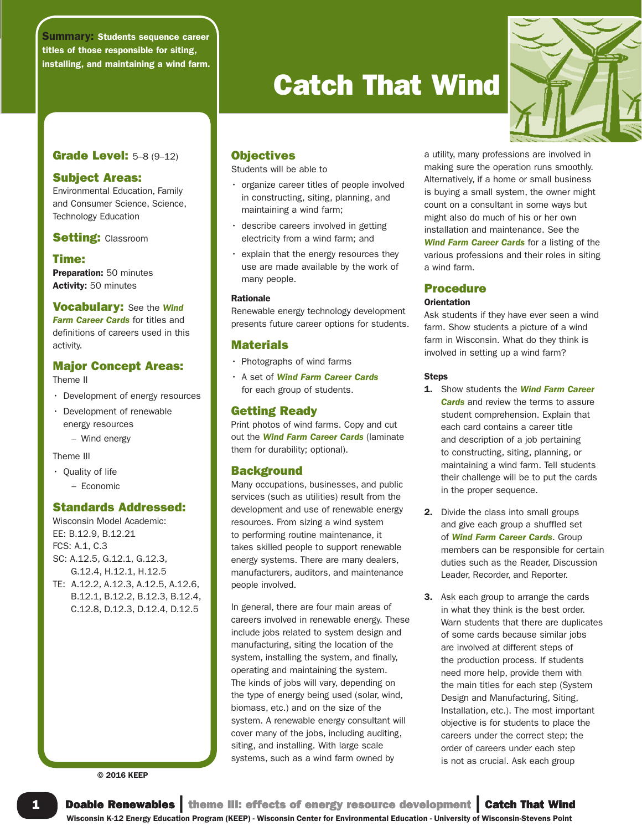Summary: Students sequence career titles of those responsible for siting, installing, and maintaining a wind farm.

# Name *name italic* **Catch That Wind**



# **Grade Level: 5-8 (9-12)**

# Subject Areas:

Environmental Education, Family and Consumer Science, Science, Technology Education

**Setting: Classroom** 

### Time:

Preparation: 50 minutes Activity: 50 minutes

Vocabulary: See the *Wind Farm Career Cards* for titles and

definitions of careers used in this activity.

# Major Concept Areas:

Theme II

- Development of energy resources
- Development of renewable energy resources
	- Wind energy

Theme III

• Quality of life – Economic

### Standards Addressed:

Wisconsin Model Academic: EE: B.12.9, B.12.21 FCS: A.1, C.3 SC: A.12.5, G.12.1, G.12.3, G.12.4, H.12.1, H.12.5 TE: A.12.2, A.12.3, A.12.5, A.12.6, B.12.1, B.12.2, B.12.3, B.12.4, C.12.8, D.12.3, D.12.4, D.12.5

© 2016 KEEP

**Objectives** Students will be able to

- organize career titles of people involved in constructing, siting, planning, and maintaining a wind farm;
- describe careers involved in getting electricity from a wind farm; and
- explain that the energy resources they use are made available by the work of many people.

#### Rationale

Renewable energy technology development presents future career options for students.

## **Materials**

- Photographs of wind farms
- A set of *Wind Farm Career Cards* for each group of students.

# Getting Ready

Print photos of wind farms. Copy and cut out the *Wind Farm Career Cards* (laminate them for durability; optional).

#### **Background**

Many occupations, businesses, and public services (such as utilities) result from the development and use of renewable energy resources. From sizing a wind system to performing routine maintenance, it takes skilled people to support renewable energy systems. There are many dealers, manufacturers, auditors, and maintenance people involved.

In general, there are four main areas of careers involved in renewable energy. These include jobs related to system design and manufacturing, siting the location of the system, installing the system, and finally, operating and maintaining the system. The kinds of jobs will vary, depending on the type of energy being used (solar, wind, biomass, etc.) and on the size of the system. A renewable energy consultant will cover many of the jobs, including auditing, siting, and installing. With large scale systems, such as a wind farm owned by

a utility, many professions are involved in making sure the operation runs smoothly. Alternatively, if a home or small business is buying a small system, the owner might count on a consultant in some ways but might also do much of his or her own installation and maintenance. See the *Wind Farm Career Cards* for a listing of the various professions and their roles in siting a wind farm.

#### Procedure

#### **Orientation**

Ask students if they have ever seen a wind farm. Show students a picture of a wind farm in Wisconsin. What do they think is involved in setting up a wind farm?

#### Steps

- 1. Show students the *Wind Farm Career Cards* and review the terms to assure student comprehension. Explain that each card contains a career title and description of a job pertaining to constructing, siting, planning, or maintaining a wind farm. Tell students their challenge will be to put the cards in the proper sequence.
- 2. Divide the class into small groups and give each group a shuffled set of *Wind Farm Career Cards*. Group members can be responsible for certain duties such as the Reader, Discussion Leader, Recorder, and Reporter.
- **3.** Ask each group to arrange the cards in what they think is the best order. Warn students that there are duplicates of some cards because similar jobs are involved at different steps of the production process. If students need more help, provide them with the main titles for each step (System Design and Manufacturing, Siting, Installation, etc.). The most important objective is for students to place the careers under the correct step; the order of careers under each step is not as crucial. Ask each group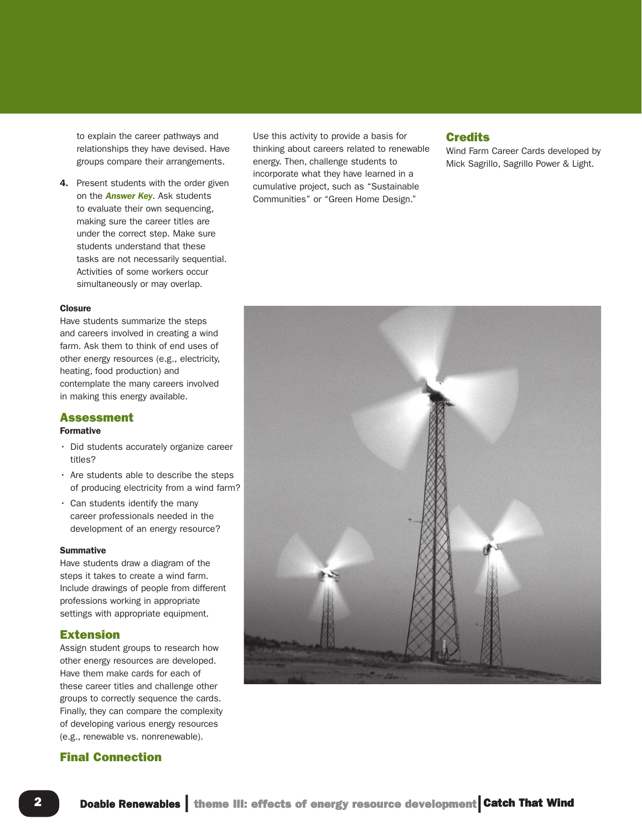to explain the career pathways and relationships they have devised. Have groups compare their arrangements.

4. Present students with the order given on the *Answer Key*. Ask students to evaluate their own sequencing, making sure the career titles are under the correct step. Make sure students understand that these tasks are not necessarily sequential. Activities of some workers occur simultaneously or may overlap.

#### **Closure**

Have students summarize the steps and careers involved in creating a wind farm. Ask them to think of end uses of other energy resources (e.g., electricity, heating, food production) and contemplate the many careers involved in making this energy available.

### Assessment

### Formative

- Did students accurately organize career titles?
- Are students able to describe the steps of producing electricity from a wind farm?
- Can students identify the many career professionals needed in the development of an energy resource?

#### **Summative**

Have students draw a diagram of the steps it takes to create a wind farm. Include drawings of people from different professions working in appropriate settings with appropriate equipment.

#### Extension

Assign student groups to research how other energy resources are developed. Have them make cards for each of these career titles and challenge other groups to correctly sequence the cards. Finally, they can compare the complexity of developing various energy resources (e.g., renewable vs. nonrenewable).

# Final Connection

Use this activity to provide a basis for thinking about careers related to renewable energy. Then, challenge students to incorporate what they have learned in a cumulative project, such as "Sustainable Communities" or "Green Home Design."

## **Credits**

Wind Farm Career Cards developed by Mick Sagrillo, Sagrillo Power & Light.

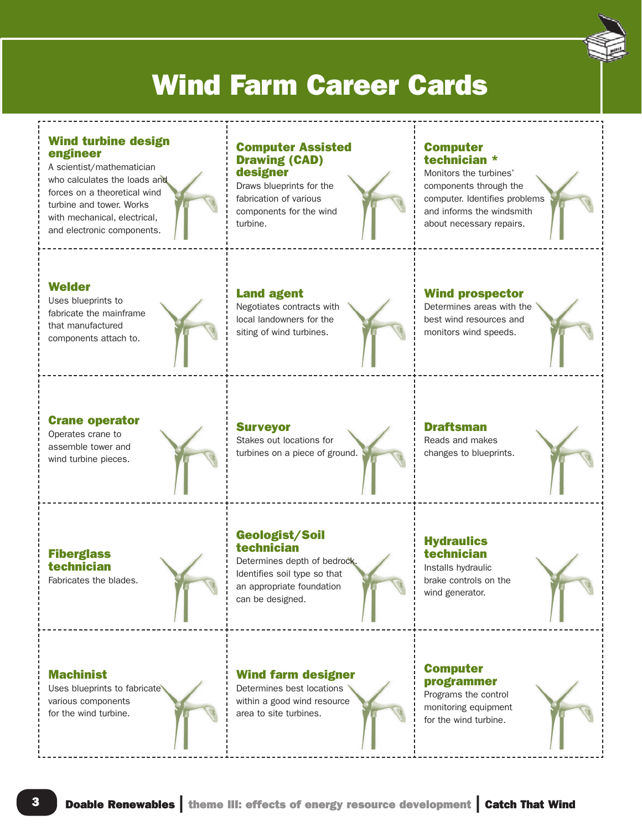# Wind Farm Career Cards

# Wind turbine design engineer

A scientist/mathematician who calculates the loads and forces on a theoretical wind turbine and tower. Works with mechanical, electrical, and electronic components.

# Welder

Uses blueprints to fabricate the mainframe that manufactured components attach to.

# Crane operator

Operates crane to assemble tower and

# **Fiberglass** technician

Fabricates the blades.

# **Machinist**

Uses blueprints to fabricate various components for the wind turbine.

## Computer Assisted Drawing (CAD) designer

Draws blueprints for the fabrication of various components for the wind turbine.

# Computer technician \*

Monitors the turbines' components through the computer. Identifies problems and informs the windsmith about necessary repairs.

# Land agent

Negotiates contracts with local landowners for the siting of wind turbines.

# Wind prospector

Determines areas with the best wind resources and monitors wind speeds.

wind turbine pieces.

# Geologist/Soil technician

Determines depth of bedrock. Identifies soil type so that an appropriate foundation can be designed.

# Wind farm designer

Determines best locations within a good wind resource area to site turbines.

## **Draftsman** Reads and makes changes to blueprints.

# **Hydraulics** technician

Installs hydraulic brake controls on the wind generator.

# Computer programmer

Programs the control monitoring equipment for the wind turbine.















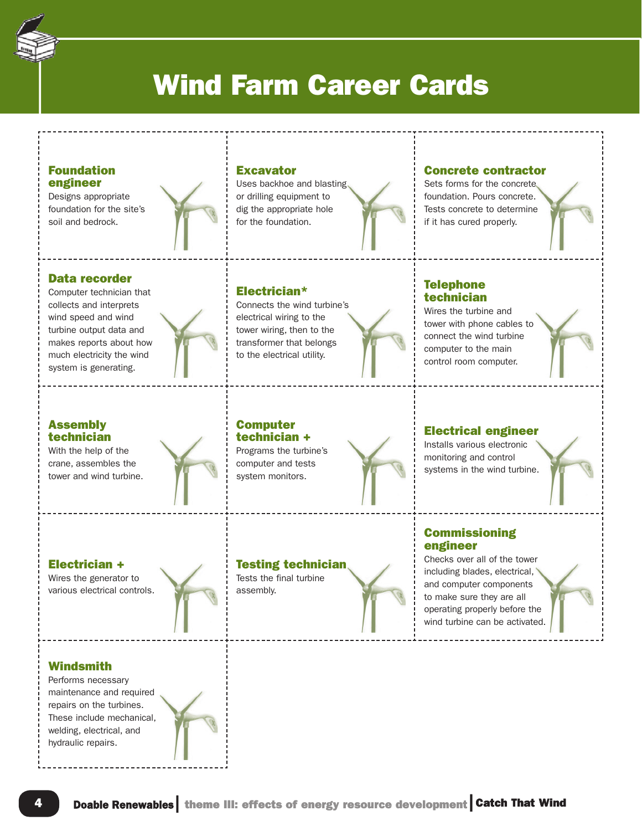

# Wind Farm Career Cards

# Foundation engineer

Designs appropriate foundation for the site's soil and bedrock.

# Data recorder

Computer technician that collects and interprets wind speed and wind turbine output data and makes reports about how much electricity the wind system is generating.

# Assembly technician

With the help of the crane, assembles the tower and wind turbine.

# Electrician +

Wires the generator to various electrical controls.

# **Windsmith**

Performs necessary maintenance and required repairs on the turbines. These include mechanical, welding, electrical, and hydraulic repairs.

# **Excavator**

Uses backhoe and blasting or drilling equipment to dig the appropriate hole for the foundation.

# Electrician\*

Connects the wind turbine's electrical wiring to the tower wiring, then to the transformer that belongs to the electrical utility.

## Computer technician + Programs the turbine's computer and tests system monitors.

Testing technician Tests the final turbine assembly.



Sets forms for the concrete foundation. Pours concrete. Tests concrete to determine if it has cured properly.

# **Telephone** technician

Wires the turbine and tower with phone cables to connect the wind turbine computer to the main control room computer.

# Electrical engineer

Installs various electronic monitoring and control systems in the wind turbine.

# **Commissioning** engineer

Checks over all of the tower including blades, electrical, and computer components to make sure they are all operating properly before the wind turbine can be activated.